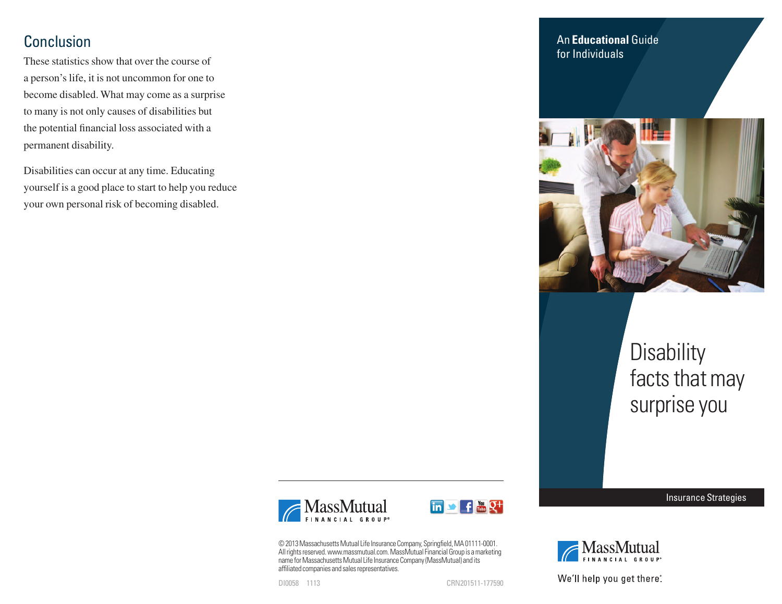# Conclusion

These statistics show that over the course of a person's life, it is not uncommon for one to become disabled. What may come as a surprise to many is not only causes of disabilities but the potential financial loss associated with a permanent disability.

Disabilities can occur at any time. Educating yourself is a good place to start to help you reduce your own personal risk of becoming disabled.

An **Educational** Guide for Individuals



# **Disability** facts that may surprise you





© 2013 Massachusetts Mutual Life Insurance Company, Springfield, MA 01111-0001. All rights reserved. www.massmutual.com. MassMutual Financial Group is a marketing name for Massachusetts Mutual Life Insurance Company (MassMutual) and its affiliated companies and sales representatives.

DI0058 1113 CRN201511-177590



Insurance Strategies



We'll help you get there<sup>®</sup>